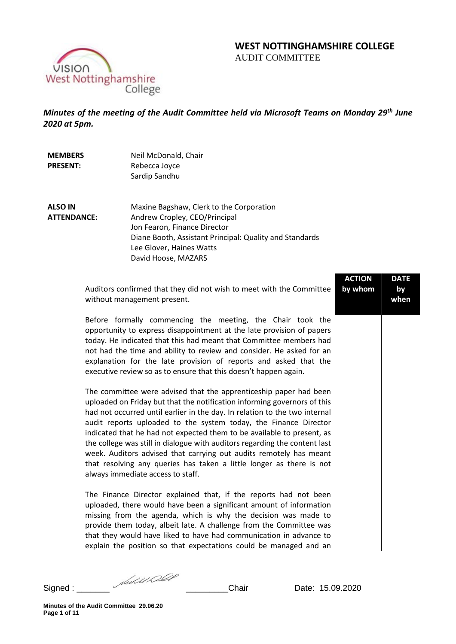# **WEST NOTTINGHAMSHIRE COLLEGE**  AUDIT COMMITTEE



*Minutes of the meeting of the Audit Committee held via Microsoft Teams on Monday 29th June 2020 at 5pm.* 

| <b>MEMBERS</b><br><b>PRESENT:</b>    | Neil McDonald, Chair<br>Rebecca Joyce<br>Sardip Sandhu                                                                                                                                                                                                                                                                                                                                                                                                                                                                                                                                                                                     |                          |                           |
|--------------------------------------|--------------------------------------------------------------------------------------------------------------------------------------------------------------------------------------------------------------------------------------------------------------------------------------------------------------------------------------------------------------------------------------------------------------------------------------------------------------------------------------------------------------------------------------------------------------------------------------------------------------------------------------------|--------------------------|---------------------------|
| <b>ALSO IN</b><br><b>ATTENDANCE:</b> | Maxine Bagshaw, Clerk to the Corporation<br>Andrew Cropley, CEO/Principal<br>Jon Fearon, Finance Director<br>Diane Booth, Assistant Principal: Quality and Standards<br>Lee Glover, Haines Watts<br>David Hoose, MAZARS                                                                                                                                                                                                                                                                                                                                                                                                                    |                          |                           |
|                                      | Auditors confirmed that they did not wish to meet with the Committee<br>without management present.                                                                                                                                                                                                                                                                                                                                                                                                                                                                                                                                        | <b>ACTION</b><br>by whom | <b>DATE</b><br>by<br>when |
|                                      | Before formally commencing the meeting, the Chair took the<br>opportunity to express disappointment at the late provision of papers<br>today. He indicated that this had meant that Committee members had<br>not had the time and ability to review and consider. He asked for an<br>explanation for the late provision of reports and asked that the<br>executive review so as to ensure that this doesn't happen again.                                                                                                                                                                                                                  |                          |                           |
|                                      | The committee were advised that the apprenticeship paper had been<br>uploaded on Friday but that the notification informing governors of this<br>had not occurred until earlier in the day. In relation to the two internal<br>audit reports uploaded to the system today, the Finance Director<br>indicated that he had not expected them to be available to present, as<br>the college was still in dialogue with auditors regarding the content last<br>week. Auditors advised that carrying out audits remotely has meant<br>that resolving any queries has taken a little longer as there is not<br>always immediate access to staff. |                          |                           |
|                                      |                                                                                                                                                                                                                                                                                                                                                                                                                                                                                                                                                                                                                                            |                          |                           |

The Finance Director explained that, if the reports had not been uploaded, there would have been a significant amount of information missing from the agenda, which is why the decision was made to provide them today, albeit late. A challenge from the Committee was that they would have liked to have had communication in advance to explain the position so that expectations could be managed and an

Signed : \_\_\_\_\_\_\_ \_\_\_\_\_\_\_\_\_Chair Date: 15.09.2020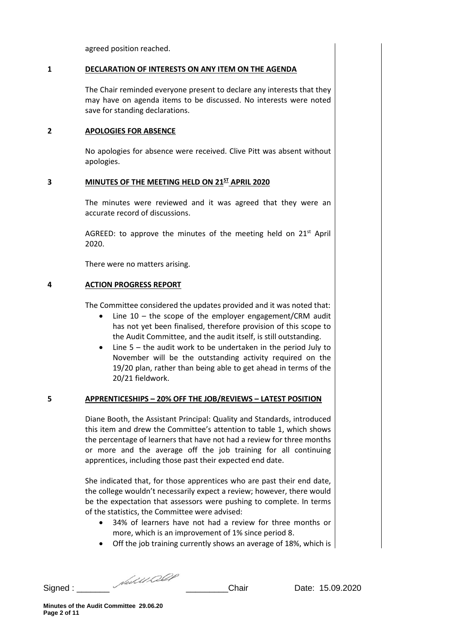agreed position reached.

## **1 DECLARATION OF INTERESTS ON ANY ITEM ON THE AGENDA**

The Chair reminded everyone present to declare any interests that they may have on agenda items to be discussed. No interests were noted save for standing declarations.

## **2 APOLOGIES FOR ABSENCE**

No apologies for absence were received. Clive Pitt was absent without apologies.

### **3 MINUTES OF THE MEETING HELD ON 21ST APRIL 2020**

The minutes were reviewed and it was agreed that they were an accurate record of discussions.

AGREED: to approve the minutes of the meeting held on  $21<sup>st</sup>$  April 2020.

There were no matters arising.

## **4 ACTION PROGRESS REPORT**

The Committee considered the updates provided and it was noted that:

- Line  $10$  the scope of the employer engagement/CRM audit has not yet been finalised, therefore provision of this scope to the Audit Committee, and the audit itself, is still outstanding.
- Line 5 the audit work to be undertaken in the period July to November will be the outstanding activity required on the 19/20 plan, rather than being able to get ahead in terms of the 20/21 fieldwork.

## **5 APPRENTICESHIPS – 20% OFF THE JOB/REVIEWS – LATEST POSITION**

Diane Booth, the Assistant Principal: Quality and Standards, introduced this item and drew the Committee's attention to table 1, which shows the percentage of learners that have not had a review for three months or more and the average off the job training for all continuing apprentices, including those past their expected end date.

She indicated that, for those apprentices who are past their end date, the college wouldn't necessarily expect a review; however, there would be the expectation that assessors were pushing to complete. In terms of the statistics, the Committee were advised:

- 34% of learners have not had a review for three months or more, which is an improvement of 1% since period 8.
- Off the job training currently shows an average of 18%, which is

Signed : \_\_\_\_\_\_\_ \_\_\_\_\_\_\_\_\_Chair Date: 15.09.2020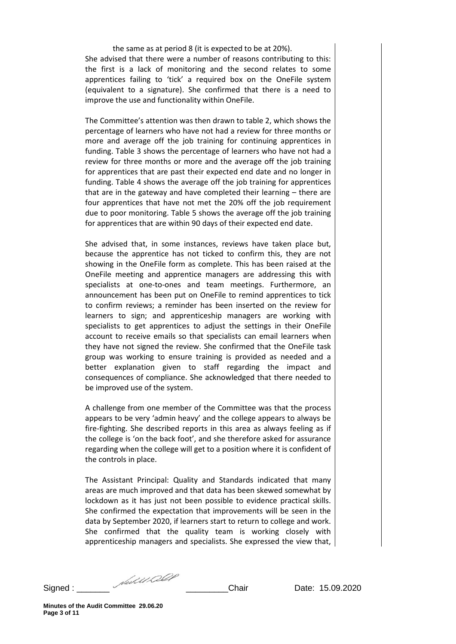the same as at period 8 (it is expected to be at 20%). She advised that there were a number of reasons contributing to this: the first is a lack of monitoring and the second relates to some apprentices failing to 'tick' a required box on the OneFile system (equivalent to a signature). She confirmed that there is a need to improve the use and functionality within OneFile.

The Committee's attention was then drawn to table 2, which shows the percentage of learners who have not had a review for three months or more and average off the job training for continuing apprentices in funding. Table 3 shows the percentage of learners who have not had a review for three months or more and the average off the job training for apprentices that are past their expected end date and no longer in funding. Table 4 shows the average off the job training for apprentices that are in the gateway and have completed their learning – there are four apprentices that have not met the 20% off the job requirement due to poor monitoring. Table 5 shows the average off the job training for apprentices that are within 90 days of their expected end date.

She advised that, in some instances, reviews have taken place but, because the apprentice has not ticked to confirm this, they are not showing in the OneFile form as complete. This has been raised at the OneFile meeting and apprentice managers are addressing this with specialists at one-to-ones and team meetings. Furthermore, an announcement has been put on OneFile to remind apprentices to tick to confirm reviews; a reminder has been inserted on the review for learners to sign; and apprenticeship managers are working with specialists to get apprentices to adjust the settings in their OneFile account to receive emails so that specialists can email learners when they have not signed the review. She confirmed that the OneFile task group was working to ensure training is provided as needed and a better explanation given to staff regarding the impact and consequences of compliance. She acknowledged that there needed to be improved use of the system.

A challenge from one member of the Committee was that the process appears to be very 'admin heavy' and the college appears to always be fire-fighting. She described reports in this area as always feeling as if the college is 'on the back foot', and she therefore asked for assurance regarding when the college will get to a position where it is confident of the controls in place.

The Assistant Principal: Quality and Standards indicated that many areas are much improved and that data has been skewed somewhat by lockdown as it has just not been possible to evidence practical skills. She confirmed the expectation that improvements will be seen in the data by September 2020, if learners start to return to college and work. She confirmed that the quality team is working closely with apprenticeship managers and specialists. She expressed the view that,

Signed : \_\_\_\_\_\_\_ \_\_\_\_\_\_\_\_\_Chair Date: 15.09.2020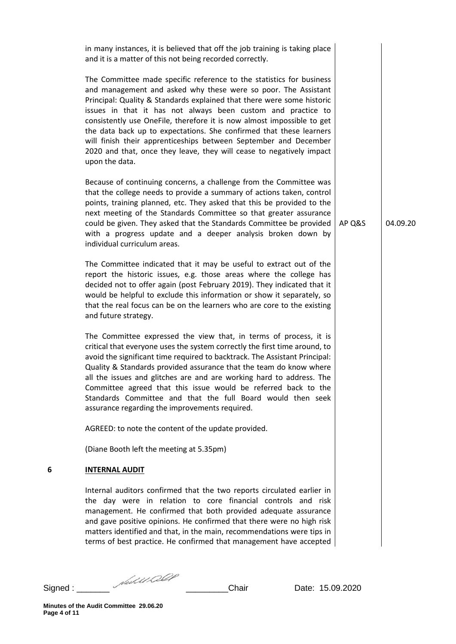|   | in many instances, it is believed that off the job training is taking place<br>and it is a matter of this not being recorded correctly.                                                                                                                                                                                                                                                                                                                                                                                                                                                         |        |          |
|---|-------------------------------------------------------------------------------------------------------------------------------------------------------------------------------------------------------------------------------------------------------------------------------------------------------------------------------------------------------------------------------------------------------------------------------------------------------------------------------------------------------------------------------------------------------------------------------------------------|--------|----------|
|   | The Committee made specific reference to the statistics for business<br>and management and asked why these were so poor. The Assistant<br>Principal: Quality & Standards explained that there were some historic<br>issues in that it has not always been custom and practice to<br>consistently use OneFile, therefore it is now almost impossible to get<br>the data back up to expectations. She confirmed that these learners<br>will finish their apprenticeships between September and December<br>2020 and that, once they leave, they will cease to negatively impact<br>upon the data. |        |          |
|   | Because of continuing concerns, a challenge from the Committee was<br>that the college needs to provide a summary of actions taken, control<br>points, training planned, etc. They asked that this be provided to the<br>next meeting of the Standards Committee so that greater assurance<br>could be given. They asked that the Standards Committee be provided<br>with a progress update and a deeper analysis broken down by<br>individual curriculum areas.                                                                                                                                | AP Q&S | 04.09.20 |
|   | The Committee indicated that it may be useful to extract out of the<br>report the historic issues, e.g. those areas where the college has<br>decided not to offer again (post February 2019). They indicated that it<br>would be helpful to exclude this information or show it separately, so<br>that the real focus can be on the learners who are core to the existing<br>and future strategy.                                                                                                                                                                                               |        |          |
|   | The Committee expressed the view that, in terms of process, it is<br>critical that everyone uses the system correctly the first time around, to<br>avoid the significant time required to backtrack. The Assistant Principal:<br>Quality & Standards provided assurance that the team do know where<br>all the issues and glitches are and are working hard to address. The<br>Committee agreed that this issue would be referred back to the<br>Standards Committee and that the full Board would then seek<br>assurance regarding the improvements required.                                  |        |          |
|   | AGREED: to note the content of the update provided.                                                                                                                                                                                                                                                                                                                                                                                                                                                                                                                                             |        |          |
|   | (Diane Booth left the meeting at 5.35pm)                                                                                                                                                                                                                                                                                                                                                                                                                                                                                                                                                        |        |          |
| 6 | <b>INTERNAL AUDIT</b>                                                                                                                                                                                                                                                                                                                                                                                                                                                                                                                                                                           |        |          |
|   | Internal auditors confirmed that the two reports circulated earlier in<br>the day were in relation to core financial controls and risk<br>management. He confirmed that both provided adequate assurance<br>and gave positive opinions. He confirmed that there were no high risk<br>matters identified and that, in the main, recommendations were tips in<br>terms of best practice. He confirmed that management have accepted                                                                                                                                                               |        |          |
|   |                                                                                                                                                                                                                                                                                                                                                                                                                                                                                                                                                                                                 |        |          |

Signed : \_\_\_\_\_\_\_ \_\_\_\_\_\_\_\_\_Chair Date: 15.09.2020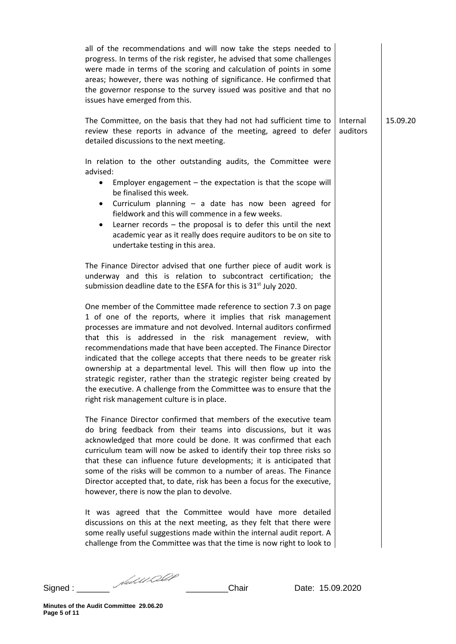| all of the recommendations and will now take the steps needed to<br>progress. In terms of the risk register, he advised that some challenges<br>were made in terms of the scoring and calculation of points in some<br>areas; however, there was nothing of significance. He confirmed that<br>the governor response to the survey issued was positive and that no<br>issues have emerged from this.                                                                                                                                                                                                                                                                                             |                      |          |
|--------------------------------------------------------------------------------------------------------------------------------------------------------------------------------------------------------------------------------------------------------------------------------------------------------------------------------------------------------------------------------------------------------------------------------------------------------------------------------------------------------------------------------------------------------------------------------------------------------------------------------------------------------------------------------------------------|----------------------|----------|
| The Committee, on the basis that they had not had sufficient time to<br>review these reports in advance of the meeting, agreed to defer<br>detailed discussions to the next meeting.                                                                                                                                                                                                                                                                                                                                                                                                                                                                                                             | Internal<br>auditors | 15.09.20 |
| In relation to the other outstanding audits, the Committee were<br>advised:<br>Employer engagement $-$ the expectation is that the scope will<br>$\bullet$<br>be finalised this week.<br>Curriculum planning - a date has now been agreed for<br>٠<br>fieldwork and this will commence in a few weeks.<br>Learner records $-$ the proposal is to defer this until the next<br>٠<br>academic year as it really does require auditors to be on site to<br>undertake testing in this area.<br>The Finance Director advised that one further piece of audit work is                                                                                                                                  |                      |          |
| underway and this is relation to subcontract certification; the<br>submission deadline date to the ESFA for this is 31 <sup>st</sup> July 2020.                                                                                                                                                                                                                                                                                                                                                                                                                                                                                                                                                  |                      |          |
| One member of the Committee made reference to section 7.3 on page<br>1 of one of the reports, where it implies that risk management<br>processes are immature and not devolved. Internal auditors confirmed<br>that this is addressed in the risk management review, with<br>recommendations made that have been accepted. The Finance Director<br>indicated that the college accepts that there needs to be greater risk<br>ownership at a departmental level. This will then flow up into the<br>strategic register, rather than the strategic register being created by<br>the executive. A challenge from the Committee was to ensure that the<br>right risk management culture is in place. |                      |          |
| The Finance Director confirmed that members of the executive team<br>do bring feedback from their teams into discussions, but it was<br>acknowledged that more could be done. It was confirmed that each<br>curriculum team will now be asked to identify their top three risks so<br>that these can influence future developments; it is anticipated that<br>some of the risks will be common to a number of areas. The Finance<br>Director accepted that, to date, risk has been a focus for the executive,<br>however, there is now the plan to devolve.                                                                                                                                      |                      |          |
| It was agreed that the Committee would have more detailed<br>discussions on this at the next meeting, as they felt that there were<br>some really useful suggestions made within the internal audit report. A<br>challenge from the Committee was that the time is now right to look to                                                                                                                                                                                                                                                                                                                                                                                                          |                      |          |

Signed : \_\_\_\_\_\_\_ \_\_\_\_\_\_\_\_\_Chair Date: 15.09.2020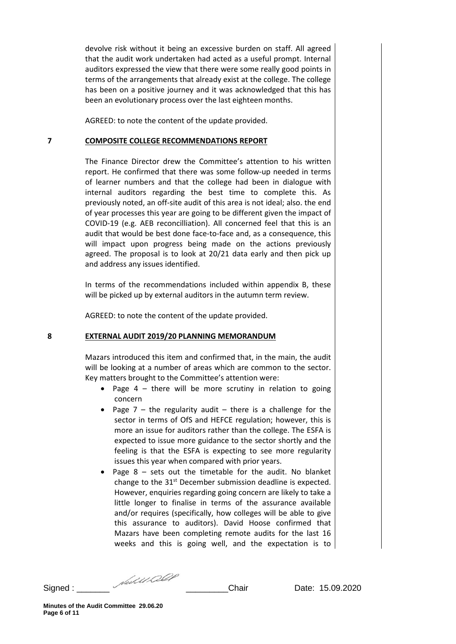devolve risk without it being an excessive burden on staff. All agreed that the audit work undertaken had acted as a useful prompt. Internal auditors expressed the view that there were some really good points in terms of the arrangements that already exist at the college. The college has been on a positive journey and it was acknowledged that this has been an evolutionary process over the last eighteen months.

AGREED: to note the content of the update provided.

## **7 COMPOSITE COLLEGE RECOMMENDATIONS REPORT**

The Finance Director drew the Committee's attention to his written report. He confirmed that there was some follow-up needed in terms of learner numbers and that the college had been in dialogue with internal auditors regarding the best time to complete this. As previously noted, an off-site audit of this area is not ideal; also. the end of year processes this year are going to be different given the impact of COVID-19 (e.g. AEB reconcilliation). All concerned feel that this is an audit that would be best done face-to-face and, as a consequence, this will impact upon progress being made on the actions previously agreed. The proposal is to look at 20/21 data early and then pick up and address any issues identified.

In terms of the recommendations included within appendix B, these will be picked up by external auditors in the autumn term review.

AGREED: to note the content of the update provided.

#### **8 EXTERNAL AUDIT 2019/20 PLANNING MEMORANDUM**

Mazars introduced this item and confirmed that, in the main, the audit will be looking at a number of areas which are common to the sector. Key matters brought to the Committee's attention were:

- Page 4 there will be more scrutiny in relation to going concern
- Page  $7$  the regularity audit there is a challenge for the sector in terms of OfS and HEFCE regulation; however, this is more an issue for auditors rather than the college. The ESFA is expected to issue more guidance to the sector shortly and the feeling is that the ESFA is expecting to see more regularity issues this year when compared with prior years.
- Page  $8$  sets out the timetable for the audit. No blanket change to the 31<sup>st</sup> December submission deadline is expected. However, enquiries regarding going concern are likely to take a little longer to finalise in terms of the assurance available and/or requires (specifically, how colleges will be able to give this assurance to auditors). David Hoose confirmed that Mazars have been completing remote audits for the last 16 weeks and this is going well, and the expectation is to

Signed : \_\_\_\_\_\_\_ \_\_\_\_\_\_\_\_\_Chair Date: 15.09.2020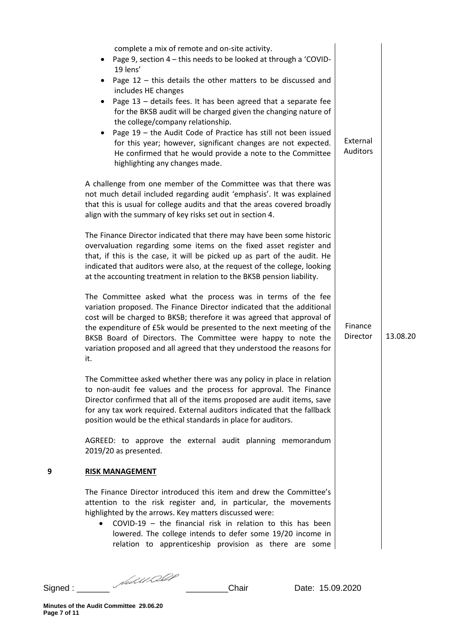|   | complete a mix of remote and on-site activity.<br>Page 9, section 4 - this needs to be looked at through a 'COVID-<br>19 lens'<br>Page $12$ – this details the other matters to be discussed and<br>includes HE changes<br>Page 13 - details fees. It has been agreed that a separate fee<br>for the BKSB audit will be charged given the changing nature of<br>the college/company relationship.<br>Page 19 - the Audit Code of Practice has still not been issued<br>for this year; however, significant changes are not expected.<br>He confirmed that he would provide a note to the Committee<br>highlighting any changes made. | External<br><b>Auditors</b> |          |
|---|--------------------------------------------------------------------------------------------------------------------------------------------------------------------------------------------------------------------------------------------------------------------------------------------------------------------------------------------------------------------------------------------------------------------------------------------------------------------------------------------------------------------------------------------------------------------------------------------------------------------------------------|-----------------------------|----------|
|   | A challenge from one member of the Committee was that there was<br>not much detail included regarding audit 'emphasis'. It was explained<br>that this is usual for college audits and that the areas covered broadly<br>align with the summary of key risks set out in section 4.                                                                                                                                                                                                                                                                                                                                                    |                             |          |
|   | The Finance Director indicated that there may have been some historic<br>overvaluation regarding some items on the fixed asset register and<br>that, if this is the case, it will be picked up as part of the audit. He<br>indicated that auditors were also, at the request of the college, looking<br>at the accounting treatment in relation to the BKSB pension liability.                                                                                                                                                                                                                                                       |                             |          |
|   | The Committee asked what the process was in terms of the fee<br>variation proposed. The Finance Director indicated that the additional<br>cost will be charged to BKSB; therefore it was agreed that approval of<br>the expenditure of £5k would be presented to the next meeting of the<br>BKSB Board of Directors. The Committee were happy to note the<br>variation proposed and all agreed that they understood the reasons for<br>it.                                                                                                                                                                                           | Finance<br>Director         | 13.08.20 |
|   | The Committee asked whether there was any policy in place in relation<br>to non-audit fee values and the process for approval. The Finance<br>Director confirmed that all of the items proposed are audit items, save<br>for any tax work required. External auditors indicated that the fallback<br>position would be the ethical standards in place for auditors.                                                                                                                                                                                                                                                                  |                             |          |
|   | AGREED: to approve the external audit planning memorandum<br>2019/20 as presented.                                                                                                                                                                                                                                                                                                                                                                                                                                                                                                                                                   |                             |          |
| 9 | <b>RISK MANAGEMENT</b>                                                                                                                                                                                                                                                                                                                                                                                                                                                                                                                                                                                                               |                             |          |
|   | The Finance Director introduced this item and drew the Committee's<br>attention to the risk register and, in particular, the movements<br>highlighted by the arrows. Key matters discussed were:<br>COVID-19 $-$ the financial risk in relation to this has been<br>lowered. The college intends to defer some 19/20 income in<br>relation to apprenticeship provision as there are some                                                                                                                                                                                                                                             |                             |          |
|   |                                                                                                                                                                                                                                                                                                                                                                                                                                                                                                                                                                                                                                      |                             |          |

Signed : \_\_\_\_\_\_\_ \_\_\_\_\_\_\_\_\_Chair Date: 15.09.2020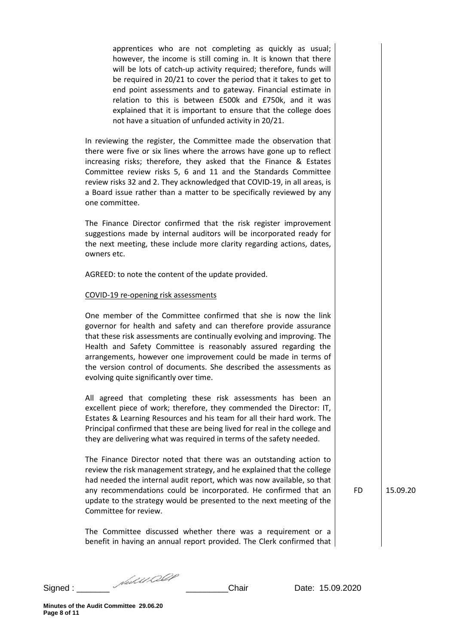apprentices who are not completing as quickly as usual; however, the income is still coming in. It is known that there will be lots of catch-up activity required; therefore, funds will be required in 20/21 to cover the period that it takes to get to end point assessments and to gateway. Financial estimate in relation to this is between £500k and £750k, and it was explained that it is important to ensure that the college does not have a situation of unfunded activity in 20/21.

In reviewing the register, the Committee made the observation that there were five or six lines where the arrows have gone up to reflect increasing risks; therefore, they asked that the Finance & Estates Committee review risks 5, 6 and 11 and the Standards Committee review risks 32 and 2. They acknowledged that COVID-19, in all areas, is a Board issue rather than a matter to be specifically reviewed by any one committee.

The Finance Director confirmed that the risk register improvement suggestions made by internal auditors will be incorporated ready for the next meeting, these include more clarity regarding actions, dates, owners etc.

AGREED: to note the content of the update provided.

### COVID-19 re-opening risk assessments

One member of the Committee confirmed that she is now the link governor for health and safety and can therefore provide assurance that these risk assessments are continually evolving and improving. The Health and Safety Committee is reasonably assured regarding the arrangements, however one improvement could be made in terms of the version control of documents. She described the assessments as evolving quite significantly over time.

All agreed that completing these risk assessments has been an excellent piece of work; therefore, they commended the Director: IT, Estates & Learning Resources and his team for all their hard work. The Principal confirmed that these are being lived for real in the college and they are delivering what was required in terms of the safety needed.

The Finance Director noted that there was an outstanding action to review the risk management strategy, and he explained that the college had needed the internal audit report, which was now available, so that any recommendations could be incorporated. He confirmed that an update to the strategy would be presented to the next meeting of the Committee for review.

The Committee discussed whether there was a requirement or a benefit in having an annual report provided. The Clerk confirmed that

FD 15.09.20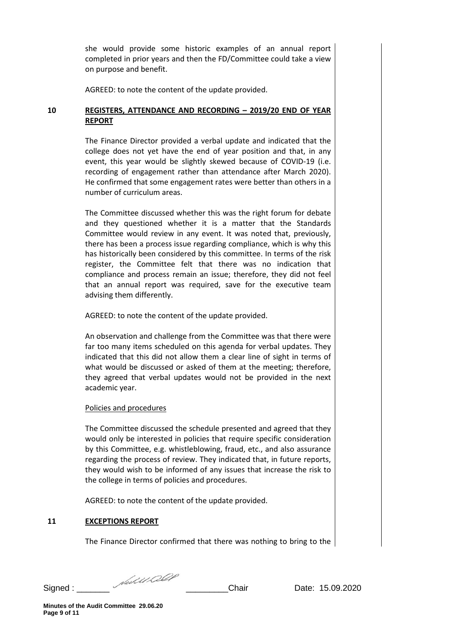she would provide some historic examples of an annual report completed in prior years and then the FD/Committee could take a view on purpose and benefit.

AGREED: to note the content of the update provided.

# **10 REGISTERS, ATTENDANCE AND RECORDING – 2019/20 END OF YEAR REPORT**

The Finance Director provided a verbal update and indicated that the college does not yet have the end of year position and that, in any event, this year would be slightly skewed because of COVID-19 (i.e. recording of engagement rather than attendance after March 2020). He confirmed that some engagement rates were better than others in a number of curriculum areas.

The Committee discussed whether this was the right forum for debate and they questioned whether it is a matter that the Standards Committee would review in any event. It was noted that, previously, there has been a process issue regarding compliance, which is why this has historically been considered by this committee. In terms of the risk register, the Committee felt that there was no indication that compliance and process remain an issue; therefore, they did not feel that an annual report was required, save for the executive team advising them differently.

AGREED: to note the content of the update provided.

An observation and challenge from the Committee was that there were far too many items scheduled on this agenda for verbal updates. They indicated that this did not allow them a clear line of sight in terms of what would be discussed or asked of them at the meeting; therefore, they agreed that verbal updates would not be provided in the next academic year.

# Policies and procedures

The Committee discussed the schedule presented and agreed that they would only be interested in policies that require specific consideration by this Committee, e.g. whistleblowing, fraud, etc., and also assurance regarding the process of review. They indicated that, in future reports, they would wish to be informed of any issues that increase the risk to the college in terms of policies and procedures.

AGREED: to note the content of the update provided.

# **11 EXCEPTIONS REPORT**

The Finance Director confirmed that there was nothing to bring to the

Signed : \_\_\_\_\_\_\_ \_\_\_\_\_\_\_\_\_Chair Date: 15.09.2020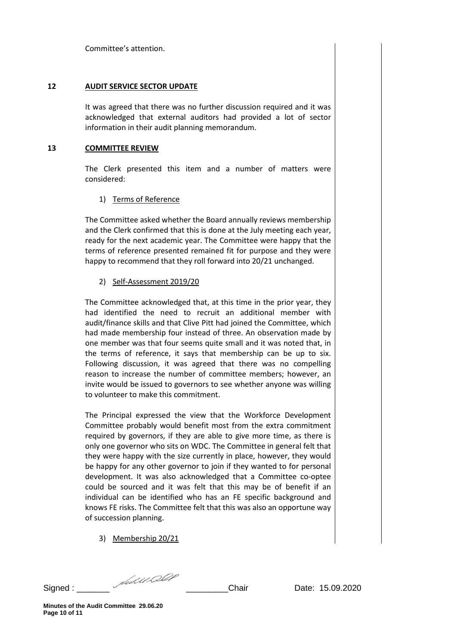Committee's attention.

## **12 AUDIT SERVICE SECTOR UPDATE**

It was agreed that there was no further discussion required and it was acknowledged that external auditors had provided a lot of sector information in their audit planning memorandum.

## **13 COMMITTEE REVIEW**

The Clerk presented this item and a number of matters were considered:

# 1) Terms of Reference

The Committee asked whether the Board annually reviews membership and the Clerk confirmed that this is done at the July meeting each year, ready for the next academic year. The Committee were happy that the terms of reference presented remained fit for purpose and they were happy to recommend that they roll forward into 20/21 unchanged.

# 2) Self-Assessment 2019/20

The Committee acknowledged that, at this time in the prior year, they had identified the need to recruit an additional member with audit/finance skills and that Clive Pitt had joined the Committee, which had made membership four instead of three. An observation made by one member was that four seems quite small and it was noted that, in the terms of reference, it says that membership can be up to six. Following discussion, it was agreed that there was no compelling reason to increase the number of committee members; however, an invite would be issued to governors to see whether anyone was willing to volunteer to make this commitment.

The Principal expressed the view that the Workforce Development Committee probably would benefit most from the extra commitment required by governors, if they are able to give more time, as there is only one governor who sits on WDC. The Committee in general felt that they were happy with the size currently in place, however, they would be happy for any other governor to join if they wanted to for personal development. It was also acknowledged that a Committee co-optee could be sourced and it was felt that this may be of benefit if an individual can be identified who has an FE specific background and knows FE risks. The Committee felt that this was also an opportune way of succession planning.

3) Membership 20/21

Signed : \_\_\_\_\_\_\_ \_\_\_\_\_\_\_\_\_Chair Date: 15.09.2020

**Minutes of the Audit Committee 29.06.20 Page 10 of 11**